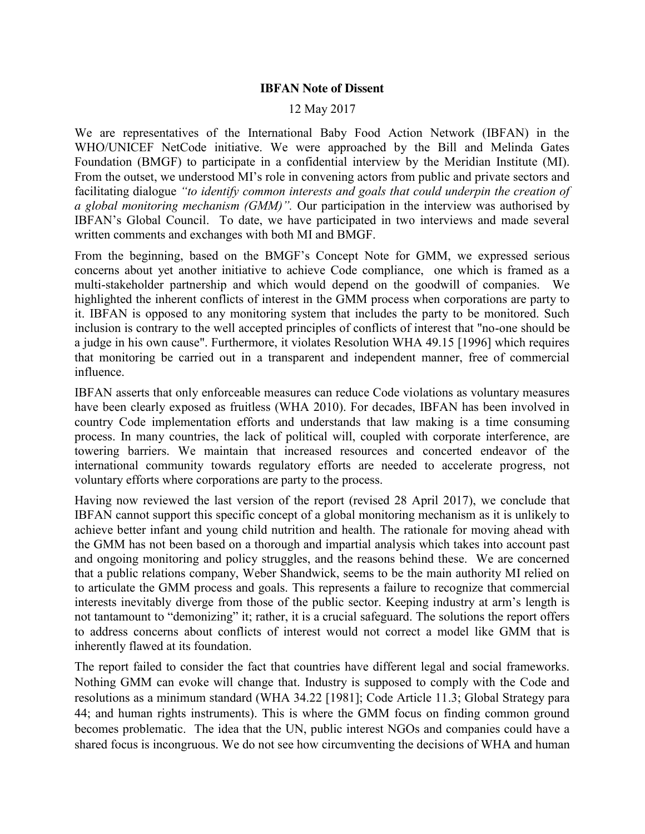## **IBFAN Note of Dissent**

## 12 May 2017

We are representatives of the International Baby Food Action Network (IBFAN) in the WHO/UNICEF NetCode initiative. We were approached by the Bill and Melinda Gates Foundation (BMGF) to participate in a confidential interview by the Meridian Institute (MI). From the outset, we understood MI's role in convening actors from public and private sectors and facilitating dialogue *"to identify common interests and goals that could underpin the creation of a global monitoring mechanism (GMM)".* Our participation in the interview was authorised by IBFAN's Global Council. To date, we have participated in two interviews and made several written comments and exchanges with both MI and BMGF.

From the beginning, based on the BMGF's Concept Note for GMM, we expressed serious concerns about yet another initiative to achieve Code compliance, one which is framed as a multi-stakeholder partnership and which would depend on the goodwill of companies. We highlighted the inherent conflicts of interest in the GMM process when corporations are party to it. IBFAN is opposed to any monitoring system that includes the party to be monitored. Such inclusion is contrary to the well accepted principles of conflicts of interest that "no-one should be a judge in his own cause". Furthermore, it violates Resolution WHA 49.15 [1996] which requires that monitoring be carried out in a transparent and independent manner, free of commercial influence.

IBFAN asserts that only enforceable measures can reduce Code violations as voluntary measures have been clearly exposed as fruitless (WHA 2010). For decades, IBFAN has been involved in country Code implementation efforts and understands that law making is a time consuming process. In many countries, the lack of political will, coupled with corporate interference, are towering barriers. We maintain that increased resources and concerted endeavor of the international community towards regulatory efforts are needed to accelerate progress, not voluntary efforts where corporations are party to the process.

Having now reviewed the last version of the report (revised 28 April 2017), we conclude that IBFAN cannot support this specific concept of a global monitoring mechanism as it is unlikely to achieve better infant and young child nutrition and health. The rationale for moving ahead with the GMM has not been based on a thorough and impartial analysis which takes into account past and ongoing monitoring and policy struggles, and the reasons behind these. We are concerned that a public relations company, Weber Shandwick, seems to be the main authority MI relied on to articulate the GMM process and goals. This represents a failure to recognize that commercial interests inevitably diverge from those of the public sector. Keeping industry at arm's length is not tantamount to "demonizing" it; rather, it is a crucial safeguard. The solutions the report offers to address concerns about conflicts of interest would not correct a model like GMM that is inherently flawed at its foundation.

The report failed to consider the fact that countries have different legal and social frameworks. Nothing GMM can evoke will change that. Industry is supposed to comply with the Code and resolutions as a minimum standard (WHA 34.22 [1981]; Code Article 11.3; Global Strategy para 44; and human rights instruments). This is where the GMM focus on finding common ground becomes problematic. The idea that the UN, public interest NGOs and companies could have a shared focus is incongruous. We do not see how circumventing the decisions of WHA and human